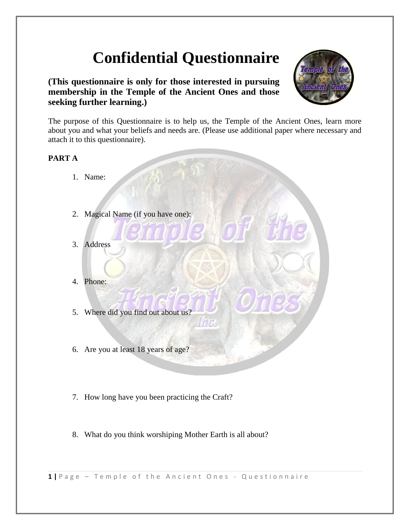# **Confidential Questionnaire**

**(This questionnaire is only for those interested in pursuing membership in the Temple of the Ancient Ones and those seeking further learning.)**



The purpose of this Questionnaire is to help us, the Temple of the Ancient Ones, learn more about you and what your beliefs and needs are. (Please use additional paper where necessary and attach it to this questionnaire).

## **PART A**

- 1. Name:
- 2. Magical Name (if you have one):
- 3. Address
- 4. Phone:
- 5. Where did you find out about us?
- 6. Are you at least 18 years of age?
- 7. How long have you been practicing the Craft?
- 8. What do you think worshiping Mother Earth is all about?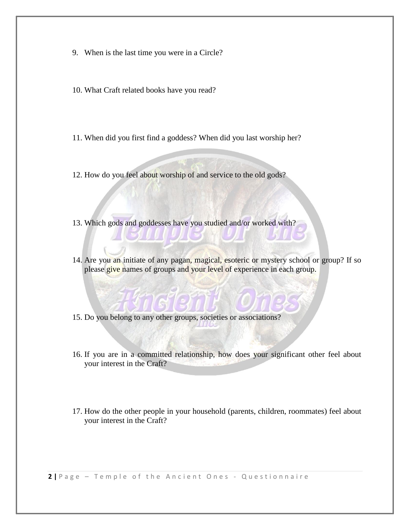- 9. When is the last time you were in a Circle?
- 10. What Craft related books have you read?
- 11. When did you first find a goddess? When did you last worship her?
- 12. How do you feel about worship of and service to the old gods?
- 13. Which gods and goddesses have you studied and/or worked with?
- 14. Are you an initiate of any pagan, magical, esoteric or mystery school or group? If so please give names of groups and your level of experience in each group.
- 15. Do you belong to any other groups, societies or associations?
- 16. If you are in a committed relationship, how does your significant other feel about your interest in the Craft?
- 17. How do the other people in your household (parents, children, roommates) feel about your interest in the Craft?

**2** | Page - Temple of the Ancient Ones - Questionnaire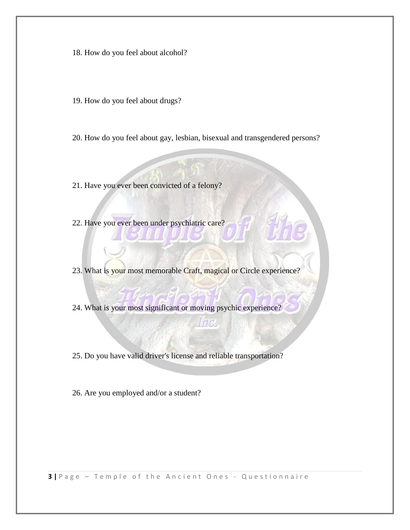- 18. How do you feel about alcohol?
- 19. How do you feel about drugs?
- 20. How do you feel about gay, lesbian, bisexual and transgendered persons?
- 21. Have you ever been convicted of a felony?
- 22. Have you ever been under psychiatric care?
- 23. What is your most memorable Craft, magical or Circle experience?
- 24. What is your most significant or moving psychic experience?

# tire

- 25. Do you have valid driver's license and reliable transportation?
- 26. Are you employed and/or a student?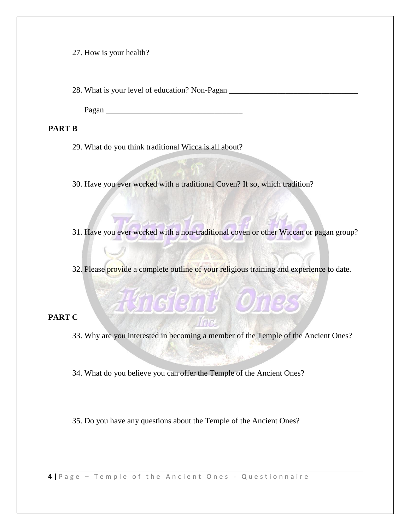27. How is your health?

28. What is your level of education? Non-Pagan \_\_\_\_\_\_\_\_\_\_\_\_\_\_\_\_\_\_\_\_\_\_\_\_\_\_\_\_\_\_\_\_\_\_

Pagan \_\_\_\_\_\_\_\_\_\_\_\_\_\_\_\_\_\_\_\_\_\_\_\_\_\_\_\_\_\_\_\_\_\_

#### **PART B**

- 29. What do you think traditional Wicca is all about?
- 30. Have you ever worked with a traditional Coven? If so, which tradition?
- 31. Have you ever worked with a non-traditional coven or other Wiccan or pagan group?
- 32. Please provide a complete outline of your religious training and experience to date.

**Freight Ches** 

## **PART C**

- 33. Why are you interested in becoming a member of the Temple of the Ancient Ones?
- 34. What do you believe you can offer the Temple of the Ancient Ones?

35. Do you have any questions about the Temple of the Ancient Ones?